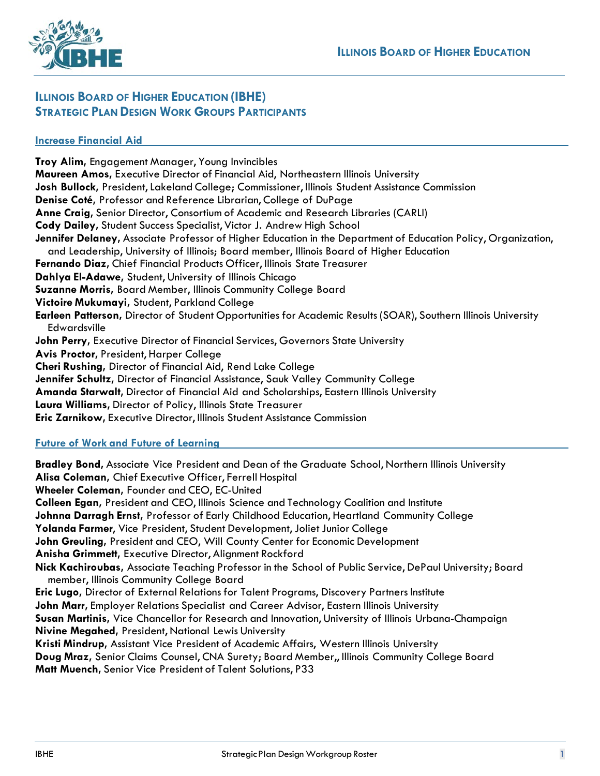

# **ILLINOIS BOARD OF HIGHER EDUCATION (IBHE) STRATEGIC PLAN DESIGN WORK GROUPS PARTICIPANTS**

# **Increase Financial Aid**

**Troy Alim,** Engagement Manager, Young Invincibles **Maureen Amos,** Executive Director of Financial Aid, Northeastern Illinois University **Josh Bullock,** President,Lakeland College; Commissioner, Illinois Student Assistance Commission **Denise Coté,** Professor and Reference Librarian, College of DuPage **Anne Craig,** Senior Director, Consortium of Academic and Research Libraries (CARLI) **Cody Dailey,** Student Success Specialist, Victor J. Andrew High School **Jennifer Delaney,** Associate Professor of Higher Education in the Department of Education Policy, Organization, and Leadership, University of Illinois; Board member, Illinois Board of Higher Education **Fernando Diaz,** Chief Financial Products Officer, Illinois State Treasurer **Dahlya El-Adawe,** Student, University of Illinois Chicago **Suzanne Morris,** Board Member, Illinois Community College Board **Victoire Mukumayi,** Student, Parkland College **Earleen Patterson,** Director of Student Opportunities for Academic Results (SOAR), Southern Illinois University Edwardsville **John Perry,** Executive Director of Financial Services, Governors State University **Avis Proctor,** President, Harper College **Cheri Rushing,** Director of Financial Aid, Rend Lake College **Jennifer Schultz,** Director of Financial Assistance, Sauk Valley Community College **Amanda Starwalt,** Director of Financial Aid and Scholarships, Eastern Illinois University **Laura Williams,** Director of Policy, Illinois State Treasurer **Eric Zarnikow,** Executive Director, Illinois Student Assistance Commission

#### **Future of Work and Future of Learning**

**Bradley Bond,** Associate Vice President and Dean of the Graduate School, Northern Illinois University **Alisa Coleman,** Chief Executive Officer, Ferrell Hospital **Wheeler Coleman,** Founder and CEO, EC-United **Colleen Egan,** President and CEO, Illinois Science and Technology Coalition and Institute **Johnna Darragh Ernst,** Professor of Early Childhood Education, Heartland Community College Yolanda Farmer, Vice President, Student Development, Joliet Junior College **John Greuling,** President and CEO, Will County Center for Economic Development **Anisha Grimmett,** Executive Director, Alignment Rockford **Nick Kachiroubas,** Associate Teaching Professor in the School of Public Service, DePaul University; Board member, Illinois Community College Board **Eric Lugo,** Director of External Relations for Talent Programs, Discovery Partners Institute **John Marr,** Employer Relations Specialist and Career Advisor, Eastern Illinois University **Susan Martinis,** Vice Chancellor for Research and Innovation, University of Illinois Urbana-Champaign **Nivine Megahed,** President, National Lewis University **Kristi Mindrup,** Assistant Vice President of Academic Affairs, Western Illinois University **Doug Mraz,** Senior Claims Counsel, CNA Surety; Board Member,, Illinois Community College Board **Matt Muench,** Senior Vice President of Talent Solutions, P33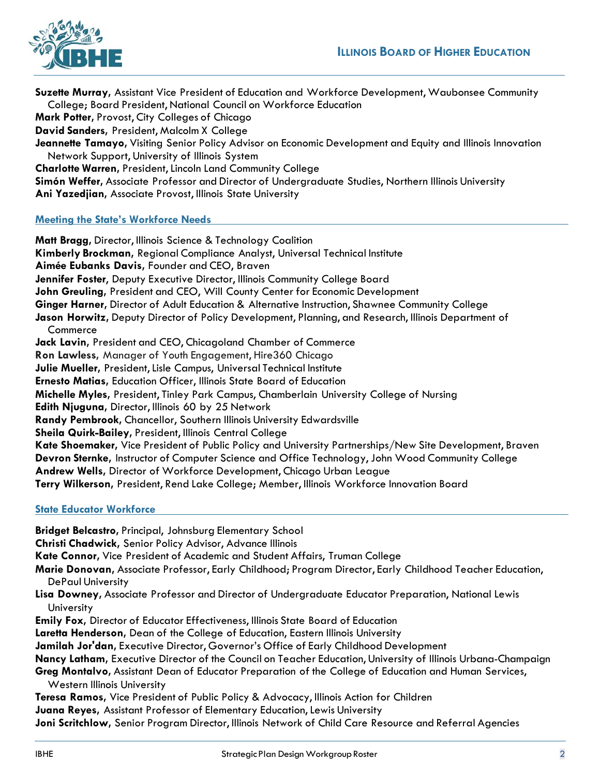

**Suzette Murray,** Assistant Vice President of Education and Workforce Development, Waubonsee Community College; Board President, National Council on Workforce Education **Mark Potter,** Provost, City Colleges of Chicago **David Sanders,** President, Malcolm X College **Jeannette Tamayo,** Visiting Senior Policy Advisor on Economic Development and Equity and Illinois Innovation Network Support, University of Illinois System **Charlotte Warren, President, Lincoln Land Community College Simón Weffer,** Associate Professor and Director of Undergraduate Studies, Northern Illinois University **Ani Yazedjian,** Associate Provost, Illinois State University **Meeting the State's Workforce Needs Matt Bragg,** Director, Illinois Science & Technology Coalition

**Kimberly Brockman,** Regional Compliance Analyst, Universal Technical Institute **Aimée Eubanks Davis,** Founder and CEO, Braven **Jennifer Foster**, Deputy Executive Director, Illinois Community College Board **John Greuling,** President and CEO, Will County Center for Economic Development **Ginger Harner,** Director of Adult Education & Alternative Instruction, Shawnee Community College **Jason Horwitz,** Deputy Director of Policy Development, Planning, and Research, Illinois Department of **Commerce Jack Lavin,** President and CEO, Chicagoland Chamber of Commerce **Ron Lawless,** Manager of Youth Engagement, Hire360 Chicago **Julie Mueller, President, Lisle Campus, Universal Technical Institute Ernesto Matias,** Education Officer, Illinois State Board of Education **Michelle Myles,** President, Tinley Park Campus, Chamberlain University College of Nursing **Edith Njuguna,** Director, Illinois 60 by 25 Network **Randy Pembrook,** Chancellor, Southern Illinois University Edwardsville **Sheila Quirk-Bailey,** President, Illinois Central College **Kate Shoemaker,** Vice President of Public Policy and University Partnerships/New Site Development, Braven **Devron Sternke,** Instructor of Computer Science and Office Technology, John Wood Community College **Andrew Wells,** Director of Workforce Development, Chicago Urban League **Terry Wilkerson,** President, Rend Lake College; Member, Illinois Workforce Innovation Board

# **State Educator Workforce**

**Bridget Belcastro,** Principal, Johnsburg Elementary School **Christi Chadwick,** Senior Policy Advisor, Advance Illinois **Kate Connor,** Vice President of Academic and Student Affairs, Truman College **Marie Donovan,** Associate Professor, Early Childhood; Program Director, Early Childhood Teacher Education, DePaul University **Lisa Downey,** Associate Professor and Director of Undergraduate Educator Preparation, National Lewis **University Emily Fox,** Director of Educator Effectiveness, Illinois State Board of Education **Laretta Henderson,** Dean of the College of Education, Eastern Illinois University **Jamilah Jor'dan,** Executive Director, Governor's Office of Early Childhood Development **Nancy Latham,** Executive Director of the Council on Teacher Education, University of Illinois Urbana-Champaign **Greg Montalvo,** Assistant Dean of Educator Preparation of the College of Education and Human Services, Western Illinois University **Teresa Ramos,** Vice President of Public Policy & Advocacy, Illinois Action for Children **Juana Reyes,** Assistant Professor of Elementary Education, Lewis University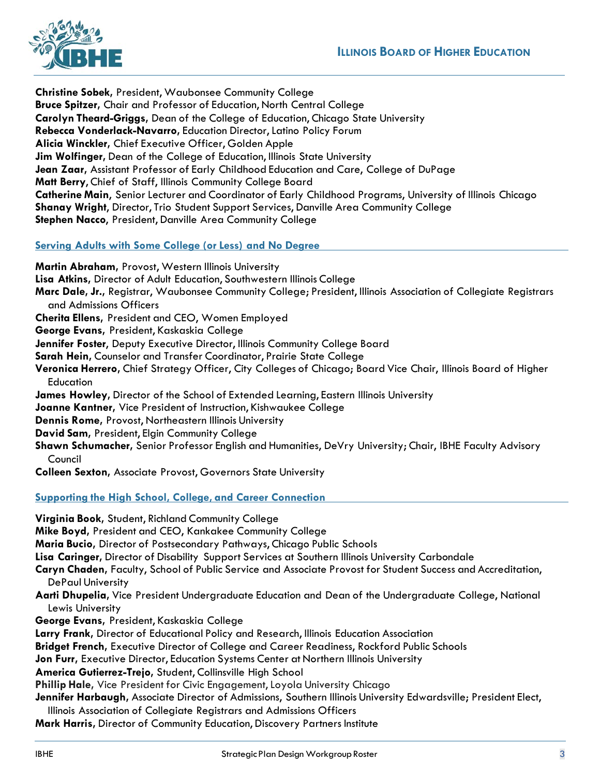

**Christine Sobek,** President, Waubonsee Community College **Bruce Spitzer,** Chair and Professor of Education, North Central College **Carolyn Theard-Griggs,** Dean of the College of Education, Chicago State University **Rebecca Vonderlack-Navarro,** Education Director,Latino Policy Forum **Alicia Winckler,** Chief Executive Officer, Golden Apple **Jim Wolfinger,** Dean of the College of Education, Illinois State University **Jean Zaar,** Assistant Professor of Early Childhood Education and Care, College of DuPage **Matt Berry**, Chief of Staff, Illinois Community College Board **Catherine Main**, Senior Lecturer and Coordinator of Early Childhood Programs, University of Illinois Chicago **Shanay Wright**, Director, Trio Student Support Services, Danville Area Community College **Stephen Nacco**, President, Danville Area Community College

# **Serving Adults with Some College (or Less) and No Degree**

**Martin Abraham,** Provost, Western Illinois University **Lisa Atkins,** Director of Adult Education, Southwestern Illinois College **Marc Dale, Jr.,** Registrar, Waubonsee Community College; President, Illinois Association of Collegiate Registrars and Admissions Officers **Cherita Ellens,** President and CEO, Women Employed **George Evans,** President, Kaskaskia College **Jennifer Foster**, Deputy Executive Director, Illinois Community College Board **Sarah Hein,** Counselor and Transfer Coordinator, Prairie State College **Veronica Herrero,** Chief Strategy Officer, City Colleges of Chicago; Board Vice Chair, Illinois Board of Higher **Education James Howley,** Director of the School of Extended Learning, Eastern Illinois University **Joanne Kantner,** Vice President of Instruction, Kishwaukee College **Dennis Rome,** Provost, Northeastern Illinois University **David Sam,** President, Elgin Community College **Shawn Schumacher,** Senior Professor English and Humanities, DeVry University; Chair, IBHE Faculty Advisory Council **Colleen Sexton,** Associate Provost, Governors State University

#### **Supporting the High School, College, and Career Connection**

**Virginia Book,** Student, Richland Community College **Mike Boyd,** President and CEO, Kankakee Community College **Maria Bucio,** Director of Postsecondary Pathways, Chicago Public Schools **Lisa Caringer,** Director of Disability Support Services at Southern Illinois University Carbondale **Caryn Chaden,** Faculty, School of Public Service and Associate Provost for Student Success and Accreditation, DePaul University **Aarti Dhupelia,** Vice President Undergraduate Education and Dean of the Undergraduate College, National Lewis University **George Evans,** President, Kaskaskia College **Larry Frank,** Director of Educational Policy and Research, Illinois Education Association **Bridget French,** Executive Director of College and Career Readiness, Rockford Public Schools **Jon Furr,** Executive Director, Education Systems Center at Northern Illinois University **America Gutierrez-Trejo,** Student, Collinsville High School **Phillip Hale,** Vice President for Civic Engagement, Loyola University Chicago **Jennifer Harbaugh,** Associate Director of Admissions, Southern Illinois University Edwardsville; President Elect, Illinois Association of Collegiate Registrars and Admissions Officers

**Mark Harris,** Director of Community Education, Discovery Partners Institute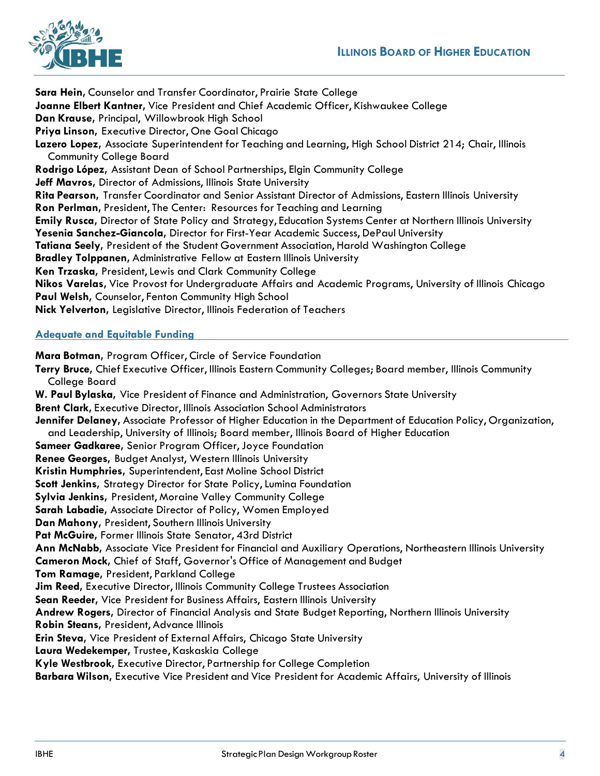

**Sara Hein,** Counselor and Transfer Coordinator, Prairie State College **Joanne Elbert Kantner,** Vice President and Chief Academic Officer, Kishwaukee College **Dan Krause,** Principal, Willowbrook High School **Priya Linson,** Executive Director, One Goal Chicago **Lazero Lopez,** Associate Superintendent for Teaching and Learning, High School District 214; Chair, Illinois Community College Board **Rodrigo López,** Assistant Dean of School Partnerships, Elgin Community College **Jeff Mavros,** Director of Admissions, Illinois State University **Rita Pearson,** Transfer Coordinator and Senior Assistant Director of Admissions, Eastern Illinois University **Ron Perlman,** President, The Center: Resources for Teaching and Learning **Emily Rusca,** Director of State Policy and Strategy, Education Systems Center at Northern Illinois University **Yesenia Sanchez-Giancola,** Director for First-Year Academic Success, DePaul University **Tatiana Seely,** President of the Student Government Association, Harold Washington College **Bradley Tolppanen,** Administrative Fellow at Eastern Illinois University **Ken Trzaska, President, Lewis and Clark Community College Nikos Varelas,** Vice Provost for Undergraduate Affairs and Academic Programs, University of Illinois Chicago **Paul Welsh,** Counselor, Fenton Community High School **Nick Yelverton,** Legislative Director, Illinois Federation of Teachers

# **Adequate and Equitable Funding**

**Mara Botman,** Program Officer, Circle of Service Foundation **Terry Bruce,** Chief Executive Officer, Illinois Eastern Community Colleges; Board member, Illinois Community College Board **W. Paul Bylaska,** Vice President of Finance and Administration, Governors State University **Brent Clark,** Executive Director, Illinois Association School Administrators **Jennifer Delaney,** Associate Professor of Higher Education in the Department of Education Policy, Organization, and Leadership, University of Illinois; Board member, Illinois Board of Higher Education **Sameer Gadkaree,** Senior Program Officer, Joyce Foundation **Renee Georges,** Budget Analyst, Western Illinois University **Kristin Humphries,** Superintendent, East Moline School District Scott Jenkins, Strategy Director for State Policy, Lumina Foundation **Sylvia Jenkins,** President, Moraine Valley Community College **Sarah Labadie,** Associate Director of Policy, Women Employed **Dan Mahony,** President, Southern Illinois University **Pat McGuire,** Former Illinois State Senator, 43rd District **Ann McNabb,** Associate Vice President for Financial and Auxiliary Operations, Northeastern Illinois University **Cameron Mock,** Chief of Staff, Governor's Office of Management and Budget **Tom Ramage,** President, Parkland College **Jim Reed,** Executive Director, Illinois Community College Trustees Association **Sean Reeder,** Vice President for Business Affairs, Eastern Illinois University **Andrew Rogers,** Director of Financial Analysis and State Budget Reporting, Northern Illinois University **Robin Steans,** President, Advance Illinois **Erin Steva,** Vice President of External Affairs, Chicago State University **Laura Wedekemper,** Trustee, Kaskaskia College **Kyle Westbrook,** Executive Director, Partnership for College Completion **Barbara Wilson,** Executive Vice President and Vice President for Academic Affairs, University of Illinois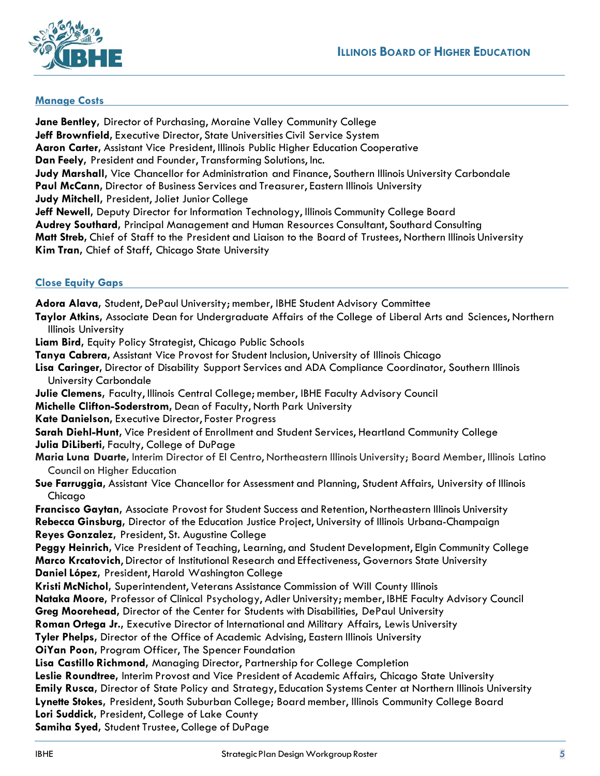

#### **Manage Costs**

**Jane Bentley,** Director of Purchasing, Moraine Valley Community College **Jeff Brownfield,** Executive Director, State Universities Civil Service System **Aaron Carter,** Assistant Vice President, Illinois Public Higher Education Cooperative **Dan Feely,** President and Founder, Transforming Solutions, Inc. **Judy Marshall,** Vice Chancellor for Administration and Finance, Southern Illinois University Carbondale **Paul McCann,** Director of Business Services and Treasurer, Eastern Illinois University **Judy Mitchell, President, Joliet Junior College Jeff Newell,** Deputy Director for Information Technology, Illinois Community College Board **Audrey Southard,** Principal Management and Human Resources Consultant, Southard Consulting **Matt Streb,** Chief of Staff to the President and Liaison to the Board of Trustees, Northern Illinois University **Kim Tran,** Chief of Staff, Chicago State University

#### **Close Equity Gaps**

**Adora Alava,** Student, DePaul University; member, IBHE Student Advisory Committee **Taylor Atkins,** Associate Dean for Undergraduate Affairs of the College of Liberal Arts and Sciences, Northern Illinois University **Liam Bird,** Equity Policy Strategist, Chicago Public Schools **Tanya Cabrera,** Assistant Vice Provost for Student Inclusion, University of Illinois Chicago **Lisa Caringer,** Director of Disability Support Services and ADA Compliance Coordinator, Southern Illinois University Carbondale **Julie Clemens,** Faculty, Illinois Central College; member, IBHE Faculty Advisory Council **Michelle Clifton-Soderstrom,** Dean of Faculty, North Park University **Kate Danielson,** Executive Director, Foster Progress **Sarah Diehl-Hunt,** Vice President of Enrollment and Student Services, Heartland Community College **Julia DiLiberti,** Faculty, College of DuPage **Maria Luna Duarte,** Interim Director of El Centro, Northeastern Illinois University; Board Member, Illinois Latino Council on Higher Education **Sue Farruggia,** Assistant Vice Chancellor for Assessment and Planning, Student Affairs, University of Illinois Chicago **Francisco Gaytan,** Associate Provost for Student Success and Retention, Northeastern Illinois University **Rebecca Ginsburg,** Director of the Education Justice Project, University of Illinois Urbana-Champaign **Reyes Gonzalez,** President, St. Augustine College **Peggy Heinrich,** Vice President of Teaching, Learning, and Student Development, Elgin Community College **Marco Krcatovich**, Director of Institutional Research and Effectiveness, Governors State University **Daniel López,** President, Harold Washington College **Kristi McNichol,** Superintendent, Veterans Assistance Commission of Will County Illinois **Nataka Moore,** Professor of Clinical Psychology, Adler University; member, IBHE Faculty Advisory Council **Greg Moorehead,** Director of the Center for Students with Disabilities, DePaul University **Roman Ortega Jr.,** Executive Director of International and Military Affairs, Lewis University **Tyler Phelps,** Director of the Office of Academic Advising, Eastern Illinois University **OiYan Poon,** Program Officer, The Spencer Foundation **Lisa Castillo Richmond,** Managing Director, Partnership for College Completion **Leslie Roundtree,** Interim Provost and Vice President of Academic Affairs, Chicago State University **Emily Rusca,** Director of State Policy and Strategy, Education Systems Center at Northern Illinois University **Lynette Stokes,** President, South Suburban College; Board member, Illinois Community College Board **Lori Suddick,** President, College of Lake County **Samiha Syed,** Student Trustee, College of DuPage